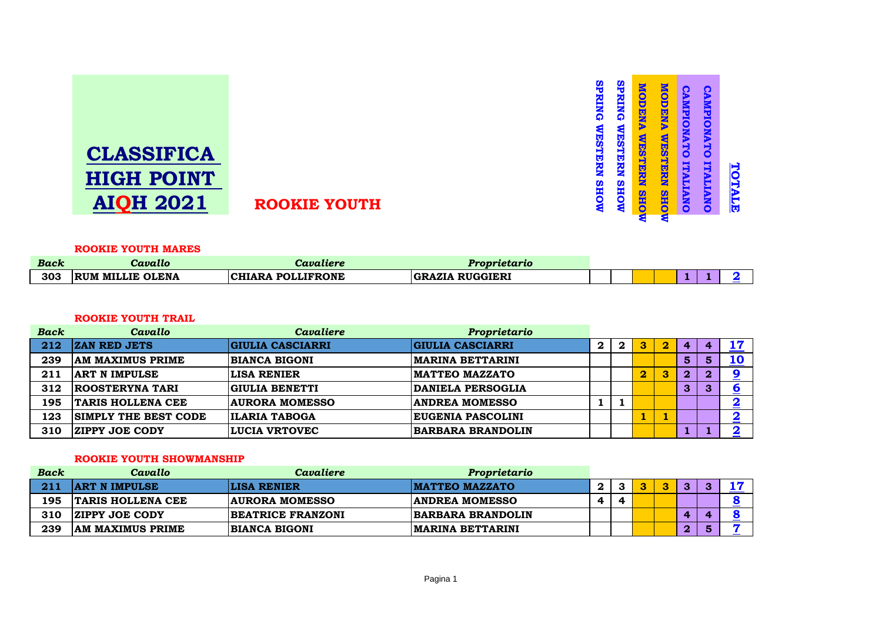|                   |                     | $\overline{\phantom{a}}$ |                          | ಀ<br>₩         | D              | 48     |   |
|-------------------|---------------------|--------------------------|--------------------------|----------------|----------------|--------|---|
| <b>CLASSIFICA</b> |                     |                          | $\boldsymbol{\mathsf v}$ | <u>ی</u><br>Ò. | 5<br>$\bullet$ |        |   |
| <b>HIGH POINT</b> |                     | Ξ                        |                          | Б              |                |        |   |
| <b>AIQH 2021</b>  | <b>ROOKIE YOUTH</b> | S<br>s                   |                          | łв             | ই<br>O         | Z<br>◘ | 偈 |
|                   |                     |                          | -                        |                |                |        |   |

#### **ROOKIE YOUTH MARES**

| <b>Back</b> | Cavallo                 | Cavaliere                | Proprietario                     |  |  |  |  |
|-------------|-------------------------|--------------------------|----------------------------------|--|--|--|--|
| 303         | <b>RUM MILLIE OLENA</b> | <b>CHIARA POLLIFRONE</b> | <b>RUGGIERI</b><br><b>GRAZIA</b> |  |  |  |  |

## **ROOKIE YOUTH TRAIL**

| <b>Back</b> | Cavallo                     | Cavaliere               | Proprietario             |              |              |                         |          |                  |    |    |
|-------------|-----------------------------|-------------------------|--------------------------|--------------|--------------|-------------------------|----------|------------------|----|----|
| 212         | <b>ZAN RED JETS</b>         | <b>GIULIA CASCIARRI</b> | <b>GIULIA CASCIARRI</b>  | $\mathbf{2}$ | $\mathbf{2}$ | З                       | $\bf{2}$ | 4                |    | 17 |
| 239         | <b>AM MAXIMUS PRIME</b>     | <b>BIANCA BIGONI</b>    | <b>MARINA BETTARINI</b>  |              |              |                         |          | 5                | 5. | 10 |
| 211         | <b>ART N IMPULSE</b>        | <b>LISA RENIER</b>      | <b>IMATTEO MAZZATO</b>   |              |              | $\overline{\mathbf{2}}$ | 3        | $\boldsymbol{2}$ | Q. |    |
| 312         | <b>ROOSTERYNA TARI</b>      | GIULIA BENETTI          | <b>DANIELA PERSOGLIA</b> |              |              |                         |          | 3                | 3  |    |
| 195         | <b>TARIS HOLLENA CEE</b>    | <b>AURORA MOMESSO</b>   | <b>ANDREA MOMESSO</b>    |              |              |                         |          |                  |    |    |
| 123         | <b>SIMPLY THE BEST CODE</b> | <b>ILARIA TABOGA</b>    | <b>EUGENIA PASCOLINI</b> |              |              |                         |          |                  |    |    |
| 310         | <b>ZIPPY JOE CODY</b>       | <b>LUCIA VRTOVEC</b>    | BARBARA BRANDOLIN        |              |              |                         |          |                  |    |    |

## **ROOKIE YOUTH SHOWMANSHIP**

| <b>Back</b> | Cavallo                  | Cavaliere                | Proprietario             |          |   |  |           |  |
|-------------|--------------------------|--------------------------|--------------------------|----------|---|--|-----------|--|
| 211         | <b>ART N IMPULSE</b>     | <b>LISA RENIER</b>       | <b>IMATTEO MAZZATO</b>   | $\bf{2}$ |   |  | $\bullet$ |  |
| 195         | <b>TARIS HOLLENA CEE</b> | <b>AURORA MOMESSO</b>    | <b>ANDREA MOMESSO</b>    |          | A |  |           |  |
| 310         | <b>ZIPPY JOE CODY</b>    | <b>BEATRICE FRANZONI</b> | <b>BARBARA BRANDOLIN</b> |          |   |  | 4         |  |
| 239         | <b>AM MAXIMUS PRIME</b>  | BIANCA BIGONI            | <b>IMARINA BETTARINI</b> |          |   |  |           |  |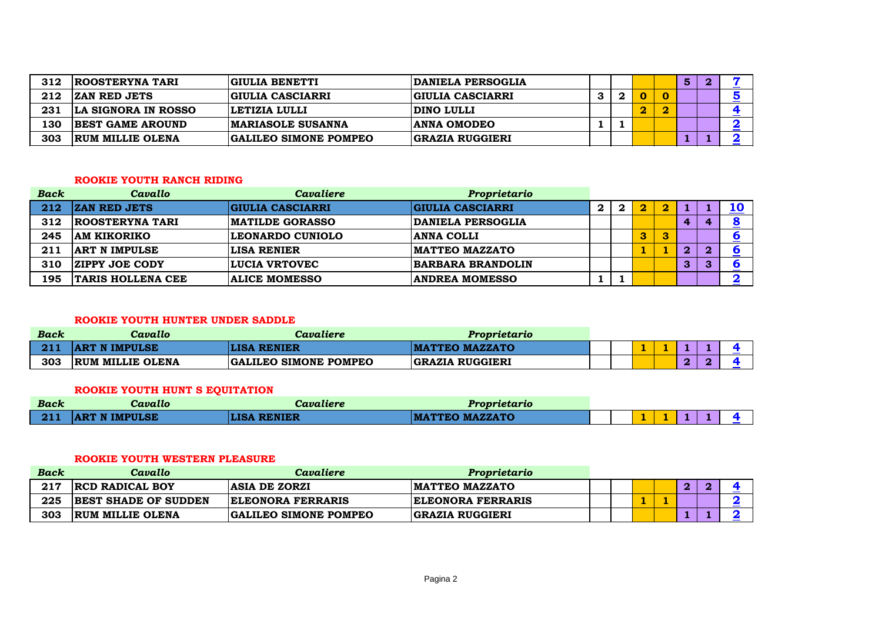| 312 | <b>ROOSTERYNA TARI</b>  | <b>GIULIA BENETTI</b>        | <b>DANIELA PERSOGLIA</b> |  |  | 5 |  |
|-----|-------------------------|------------------------------|--------------------------|--|--|---|--|
| 212 | <b>ZAN RED JETS</b>     | GIULIA CASCIARRI             | <b>GIULIA CASCIARRI</b>  |  |  |   |  |
| 231 | LA SIGNORA IN ROSSO     | LETIZIA LULLI                | <b>DINO LULLI</b>        |  |  |   |  |
| 130 | <b>BEST GAME AROUND</b> | <b>IMARIASOLE SUSANNA</b>    | <b>ANNA OMODEO</b>       |  |  |   |  |
| 303 | <b>RUM MILLIE OLENA</b> | <b>GALILEO SIMONE POMPEO</b> | <b>GRAZIA RUGGIERI</b>   |  |  |   |  |

#### **ROOKIE YOUTH RANCH RIDING**

| <b>Back</b> | Cavallo                  | <b>Cavaliere</b>        | Proprietario             |              |   |   |   |   |  |
|-------------|--------------------------|-------------------------|--------------------------|--------------|---|---|---|---|--|
| 212         | <b>ZAN RED JETS</b>      | <b>GIULIA CASCIARRI</b> | <b>GIULIA CASCIARRI</b>  | $\mathbf{2}$ | 2 |   |   |   |  |
| 312         | <b>ROOSTERYNA TARI</b>   | <b>MATILDE GORASSO</b>  | DANIELA PERSOGLIA        |              |   |   | 4 |   |  |
| 245         | <b>AM KIKORIKO</b>       | LEONARDO CUNIOLO        | <b>ANNA COLLI</b>        |              |   | 3 |   |   |  |
| 211         | <b>ART N IMPULSE</b>     | <b>LISA RENIER</b>      | <b>MATTEO MAZZATO</b>    |              |   |   | 2 | റ |  |
| 310         | <b>ZIPPY JOE CODY</b>    | <b>LUCIA VRTOVEC</b>    | <b>BARBARA BRANDOLIN</b> |              |   |   | 3 | з |  |
| 195         | <b>TARIS HOLLENA CEE</b> | <b>ALICE MOMESSO</b>    | <b>ANDREA MOMESSO</b>    |              |   |   |   |   |  |

## **ROOKIE YOUTH HUNTER UNDER SADDLE**

| Back | Cavallo                 | Cavaliere                    | Proprietario           |  |  |  |  |
|------|-------------------------|------------------------------|------------------------|--|--|--|--|
|      | <b>ART N IMPULSE</b>    | <b>LISA RENIER</b>           | <b>IMATTEO MAZZATO</b> |  |  |  |  |
| 303  | <b>RUM MILLIE OLENA</b> | <b>GALILEO SIMONE POMPEO</b> | <b>GRAZIA RUGGIERI</b> |  |  |  |  |

# **ROOKIE YOUTH HUNT S EQUITATION**

| <b>Back</b> | Cavallo              | Cavaliere                     | Proprietario                     |  |     |  |  |
|-------------|----------------------|-------------------------------|----------------------------------|--|-----|--|--|
| 211         | <b>ART N IMPULSE</b> | <b>RENIER</b><br><b>ILISA</b> | <b>MAZZATO</b><br><b>IMATTEO</b> |  | . . |  |  |

## **ROOKIE YOUTH WESTERN PLEASURE**

| Back | Cavallo                     | Cavaliere                    | Proprietario             |  |  |   |  |
|------|-----------------------------|------------------------------|--------------------------|--|--|---|--|
| 217  | <b>RCD RADICAL BOY</b>      | <b>ASIA DE ZORZI</b>         | <b>IMATTEO MAZZATO</b>   |  |  | œ |  |
| 225  | <b>BEST SHADE OF SUDDEN</b> | <b>ELEONORA FERRARIS</b>     | <b>ELEONORA FERRARIS</b> |  |  |   |  |
| 303  | <b>RUM MILLIE OLENA</b>     | <b>GALILEO SIMONE POMPEO</b> | <b>GRAZIA RUGGIERI</b>   |  |  |   |  |